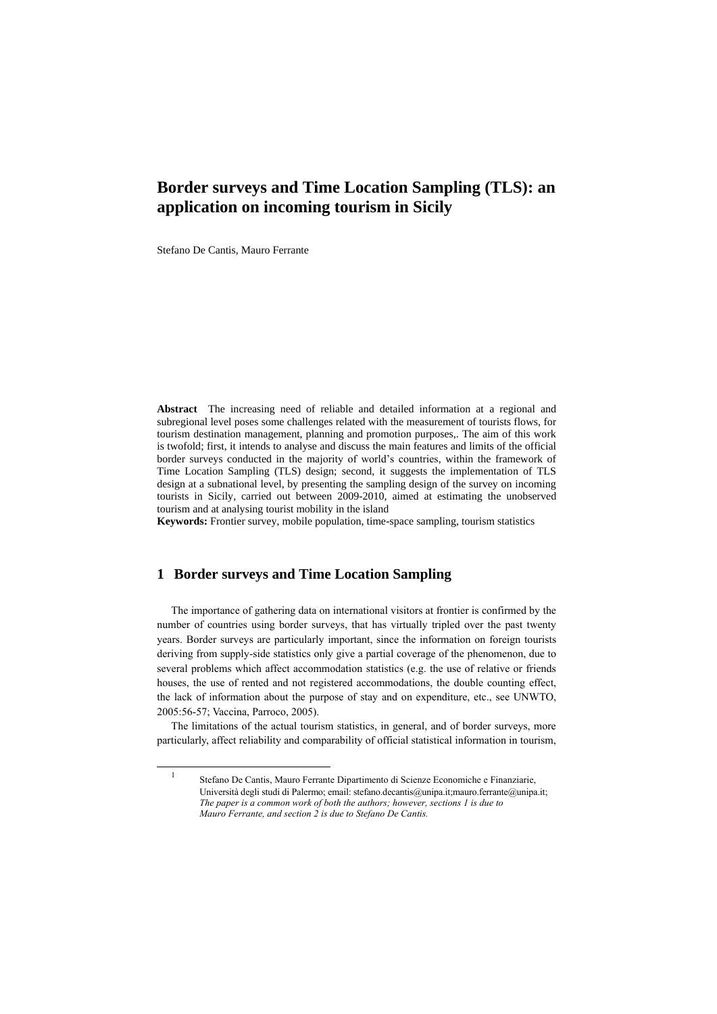## **Border surveys and Time Location Sampling (TLS): an application on incoming tourism in Sicily**

Stefano De Cantis, Mauro Ferrante

l

**Abstract** The increasing need of reliable and detailed information at a regional and subregional level poses some challenges related with the measurement of tourists flows, for tourism destination management, planning and promotion purposes,. The aim of this work is twofold; first, it intends to analyse and discuss the main features and limits of the official border surveys conducted in the majority of world's countries, within the framework of Time Location Sampling (TLS) design; second, it suggests the implementation of TLS design at a subnational level, by presenting the sampling design of the survey on incoming tourists in Sicily, carried out between 2009-2010, aimed at estimating the unobserved tourism and at analysing tourist mobility in the island

**Keywords:** Frontier survey, mobile population, time-space sampling, tourism statistics

## **1 Border surveys and Time Location Sampling**

The importance of gathering data on international visitors at frontier is confirmed by the number of countries using border surveys, that has virtually tripled over the past twenty years. Border surveys are particularly important, since the information on foreign tourists deriving from supply-side statistics only give a partial coverage of the phenomenon, due to several problems which affect accommodation statistics (e.g. the use of relative or friends houses, the use of rented and not registered accommodations, the double counting effect, the lack of information about the purpose of stay and on expenditure, etc., see UNWTO, 2005:56-57; Vaccina, Parroco, 2005).

The limitations of the actual tourism statistics, in general, and of border surveys, more particularly, affect reliability and comparability of official statistical information in tourism,

<sup>1</sup> Stefano De Cantis, Mauro Ferrante Dipartimento di Scienze Economiche e Finanziarie, Università degli studi di Palermo; email: stefano.decantis@unipa.it;mauro.ferrante@unipa.it; *The paper is a common work of both the authors; however, sections 1 is due to Mauro Ferrante, and section 2 is due to Stefano De Cantis.*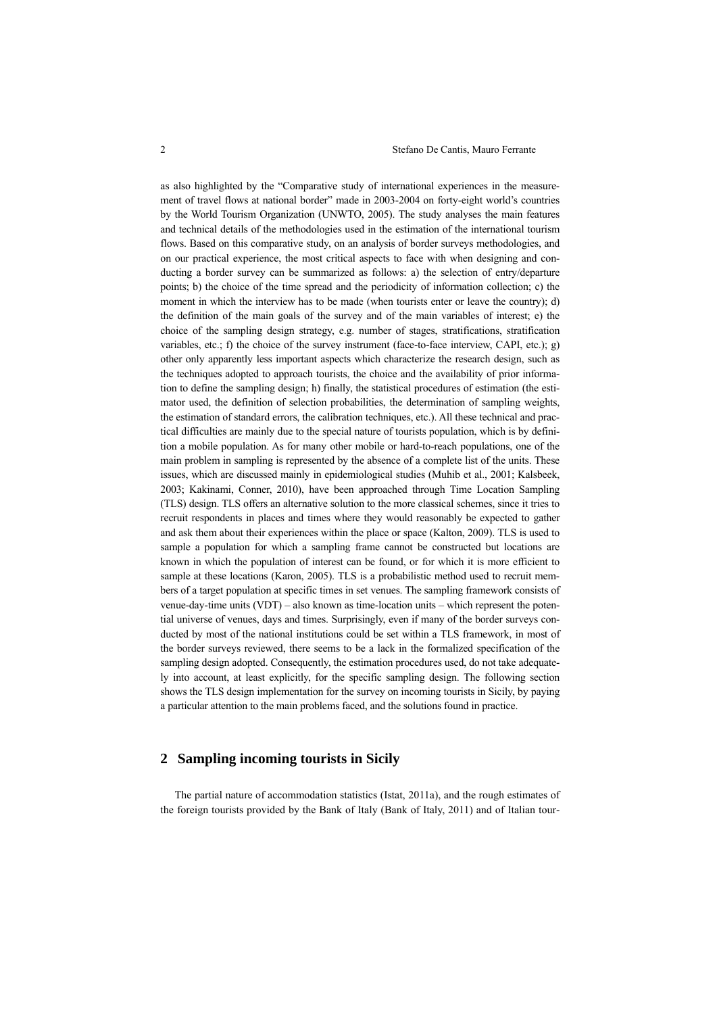as also highlighted by the "Comparative study of international experiences in the measurement of travel flows at national border" made in 2003-2004 on forty-eight world's countries by the World Tourism Organization (UNWTO, 2005). The study analyses the main features and technical details of the methodologies used in the estimation of the international tourism flows. Based on this comparative study, on an analysis of border surveys methodologies, and on our practical experience, the most critical aspects to face with when designing and conducting a border survey can be summarized as follows: a) the selection of entry/departure points; b) the choice of the time spread and the periodicity of information collection; c) the moment in which the interview has to be made (when tourists enter or leave the country); d) the definition of the main goals of the survey and of the main variables of interest; e) the choice of the sampling design strategy, e.g. number of stages, stratifications, stratification variables, etc.; f) the choice of the survey instrument (face-to-face interview, CAPI, etc.); g) other only apparently less important aspects which characterize the research design, such as the techniques adopted to approach tourists, the choice and the availability of prior information to define the sampling design; h) finally, the statistical procedures of estimation (the estimator used, the definition of selection probabilities, the determination of sampling weights, the estimation of standard errors, the calibration techniques, etc.). All these technical and practical difficulties are mainly due to the special nature of tourists population, which is by definition a mobile population. As for many other mobile or hard-to-reach populations, one of the main problem in sampling is represented by the absence of a complete list of the units. These issues, which are discussed mainly in epidemiological studies (Muhib et al., 2001; Kalsbeek, 2003; Kakinami, Conner, 2010), have been approached through Time Location Sampling (TLS) design. TLS offers an alternative solution to the more classical schemes, since it tries to recruit respondents in places and times where they would reasonably be expected to gather and ask them about their experiences within the place or space (Kalton, 2009). TLS is used to sample a population for which a sampling frame cannot be constructed but locations are known in which the population of interest can be found, or for which it is more efficient to sample at these locations (Karon, 2005). TLS is a probabilistic method used to recruit members of a target population at specific times in set venues. The sampling framework consists of venue-day-time units (VDT) – also known as time-location units – which represent the potential universe of venues, days and times. Surprisingly, even if many of the border surveys conducted by most of the national institutions could be set within a TLS framework, in most of the border surveys reviewed, there seems to be a lack in the formalized specification of the sampling design adopted. Consequently, the estimation procedures used, do not take adequately into account, at least explicitly, for the specific sampling design. The following section shows the TLS design implementation for the survey on incoming tourists in Sicily, by paying a particular attention to the main problems faced, and the solutions found in practice.

## **2 Sampling incoming tourists in Sicily**

The partial nature of accommodation statistics (Istat, 2011a), and the rough estimates of the foreign tourists provided by the Bank of Italy (Bank of Italy, 2011) and of Italian tour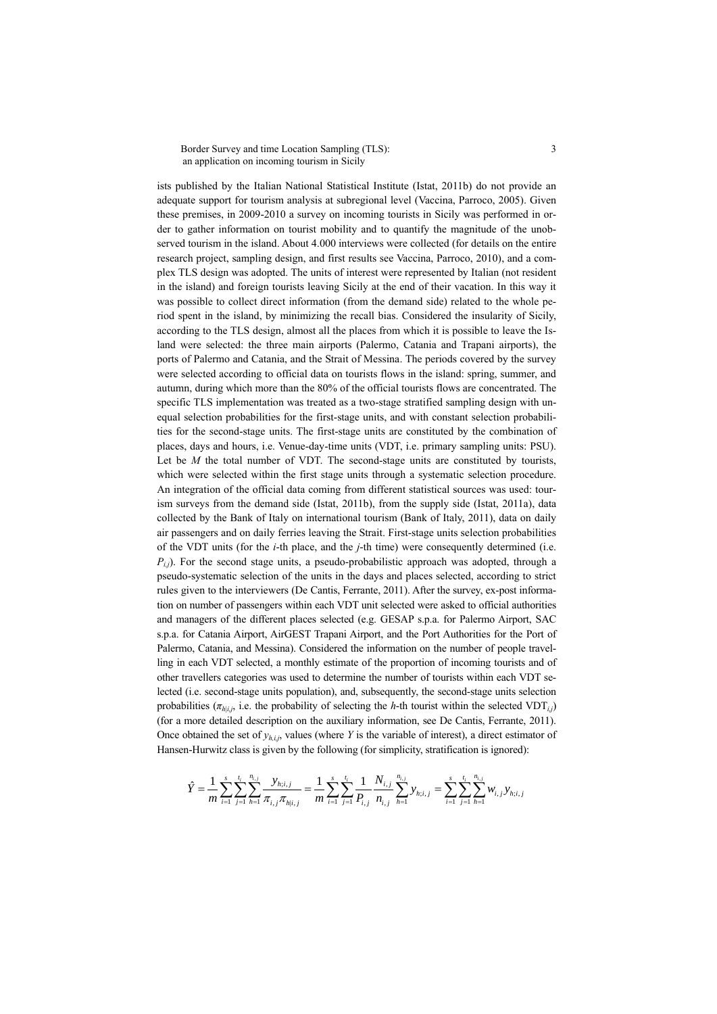Border Survey and time Location Sampling (TLS): 3 an application on incoming tourism in Sicily

ists published by the Italian National Statistical Institute (Istat, 2011b) do not provide an adequate support for tourism analysis at subregional level (Vaccina, Parroco, 2005). Given these premises, in 2009-2010 a survey on incoming tourists in Sicily was performed in order to gather information on tourist mobility and to quantify the magnitude of the unobserved tourism in the island. About 4.000 interviews were collected (for details on the entire research project, sampling design, and first results see Vaccina, Parroco, 2010), and a complex TLS design was adopted. The units of interest were represented by Italian (not resident in the island) and foreign tourists leaving Sicily at the end of their vacation. In this way it was possible to collect direct information (from the demand side) related to the whole period spent in the island, by minimizing the recall bias. Considered the insularity of Sicily, according to the TLS design, almost all the places from which it is possible to leave the Island were selected: the three main airports (Palermo, Catania and Trapani airports), the ports of Palermo and Catania, and the Strait of Messina. The periods covered by the survey were selected according to official data on tourists flows in the island: spring, summer, and autumn, during which more than the 80% of the official tourists flows are concentrated. The specific TLS implementation was treated as a two-stage stratified sampling design with unequal selection probabilities for the first-stage units, and with constant selection probabilities for the second-stage units. The first-stage units are constituted by the combination of places, days and hours, i.e. Venue-day-time units (VDT, i.e. primary sampling units: PSU). Let be  $M$  the total number of VDT. The second-stage units are constituted by tourists, which were selected within the first stage units through a systematic selection procedure. An integration of the official data coming from different statistical sources was used: tourism surveys from the demand side (Istat, 2011b), from the supply side (Istat, 2011a), data collected by the Bank of Italy on international tourism (Bank of Italy, 2011), data on daily air passengers and on daily ferries leaving the Strait. First-stage units selection probabilities of the VDT units (for the *i*-th place, and the *j*-th time) were consequently determined (i.e.  $P_{ij}$ ). For the second stage units, a pseudo-probabilistic approach was adopted, through a pseudo-systematic selection of the units in the days and places selected, according to strict rules given to the interviewers (De Cantis, Ferrante, 2011). After the survey, ex-post information on number of passengers within each VDT unit selected were asked to official authorities and managers of the different places selected (e.g. GESAP s.p.a. for Palermo Airport, SAC s.p.a. for Catania Airport, AirGEST Trapani Airport, and the Port Authorities for the Port of Palermo, Catania, and Messina). Considered the information on the number of people travelling in each VDT selected, a monthly estimate of the proportion of incoming tourists and of other travellers categories was used to determine the number of tourists within each VDT selected (i.e. second-stage units population), and, subsequently, the second-stage units selection probabilities ( $\pi_{h|i,j}$ , i.e. the probability of selecting the *h*-th tourist within the selected VDT<sub>*i*</sub></sub>) (for a more detailed description on the auxiliary information, see De Cantis, Ferrante, 2011). Once obtained the set of  $y_{h,i,j}$ , values (where *Y* is the variable of interest), a direct estimator of

Hansen-Hurwitz class is given by the following (for simplicity, stratification is ignored):  
\n
$$
\hat{Y} = \frac{1}{m} \sum_{i=1}^{s} \sum_{j=1}^{t_i} \sum_{h=1}^{n_{i,j}} \frac{y_{h;i,j}}{\pi_{h;i,j}} = \frac{1}{m} \sum_{i=1}^{s} \sum_{j=1}^{t_i} \frac{1}{P_{i,j}} \frac{N_{i,j}}{n_{i,j}} \sum_{h=1}^{n_{i,j}} y_{h;i,j} = \sum_{i=1}^{s} \sum_{j=1}^{t_i} \sum_{h=1}^{n_{i,j}} w_{i,j} y_{h;i,j}
$$